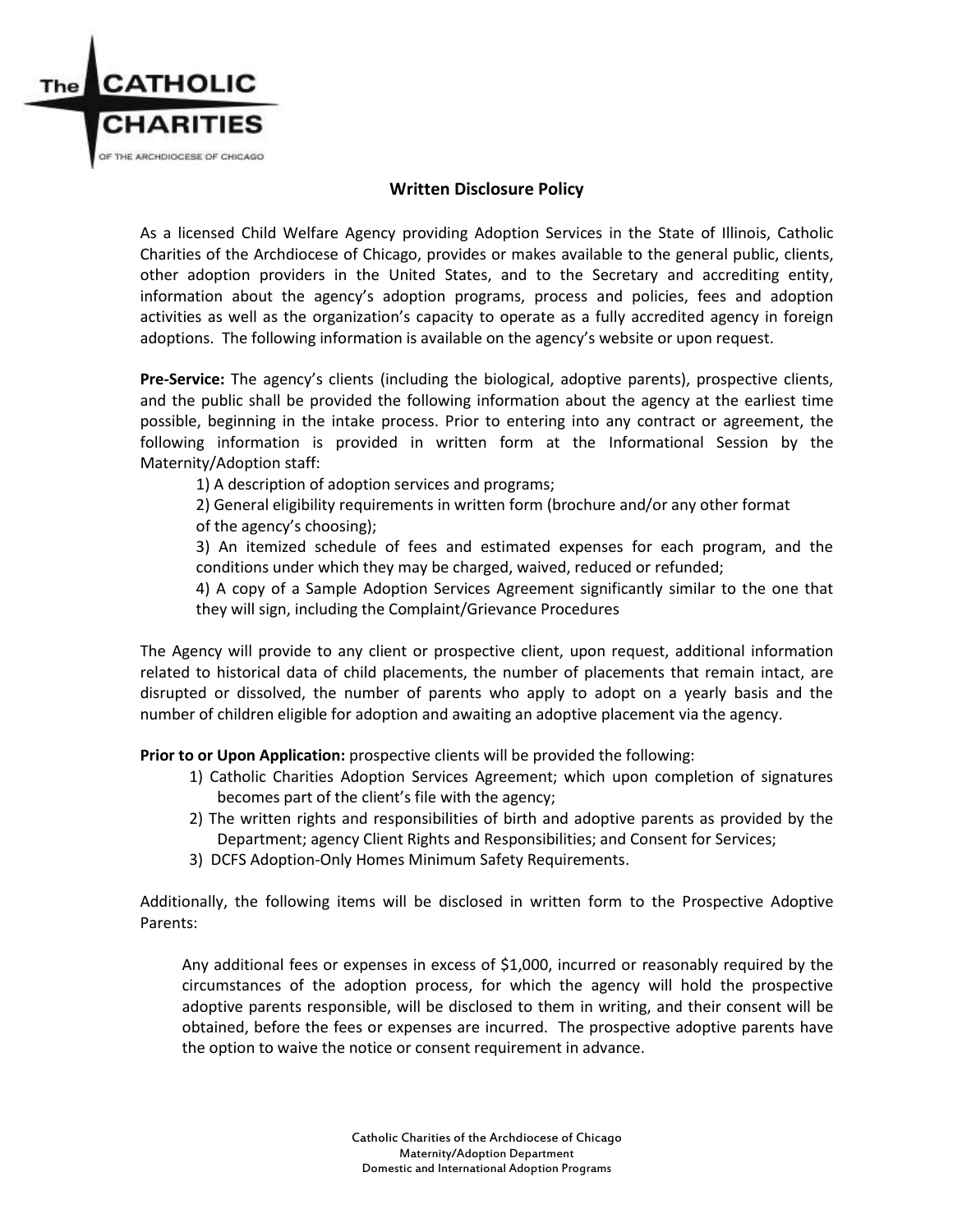

## **Written Disclosure Policy**

As a licensed Child Welfare Agency providing Adoption Services in the State of Illinois, Catholic Charities of the Archdiocese of Chicago, provides or makes available to the general public, clients, other adoption providers in the United States, and to the Secretary and accrediting entity, information about the agency's adoption programs, process and policies, fees and adoption activities as well as the organization's capacity to operate as a fully accredited agency in foreign adoptions. The following information is available on the agency's website or upon request.

**Pre-Service:** The agency's clients (including the biological, adoptive parents), prospective clients, and the public shall be provided the following information about the agency at the earliest time possible, beginning in the intake process. Prior to entering into any contract or agreement, the following information is provided in written form at the Informational Session by the Maternity/Adoption staff:

1) A description of adoption services and programs;

2) General eligibility requirements in written form (brochure and/or any other format of the agency's choosing);

3) An itemized schedule of fees and estimated expenses for each program, and the conditions under which they may be charged, waived, reduced or refunded;

4) A copy of a Sample Adoption Services Agreement significantly similar to the one that they will sign, including the Complaint/Grievance Procedures

The Agency will provide to any client or prospective client, upon request, additional information related to historical data of child placements, the number of placements that remain intact, are disrupted or dissolved, the number of parents who apply to adopt on a yearly basis and the number of children eligible for adoption and awaiting an adoptive placement via the agency.

**Prior to or Upon Application:** prospective clients will be provided the following:

- 1) Catholic Charities Adoption Services Agreement; which upon completion of signatures becomes part of the client's file with the agency;
- 2) The written rights and responsibilities of birth and adoptive parents as provided by the Department; agency Client Rights and Responsibilities; and Consent for Services;
- 3) DCFS Adoption-Only Homes Minimum Safety Requirements.

Additionally, the following items will be disclosed in written form to the Prospective Adoptive Parents:

Any additional fees or expenses in excess of \$1,000, incurred or reasonably required by the circumstances of the adoption process, for which the agency will hold the prospective adoptive parents responsible, will be disclosed to them in writing, and their consent will be obtained, before the fees or expenses are incurred. The prospective adoptive parents have the option to waive the notice or consent requirement in advance.